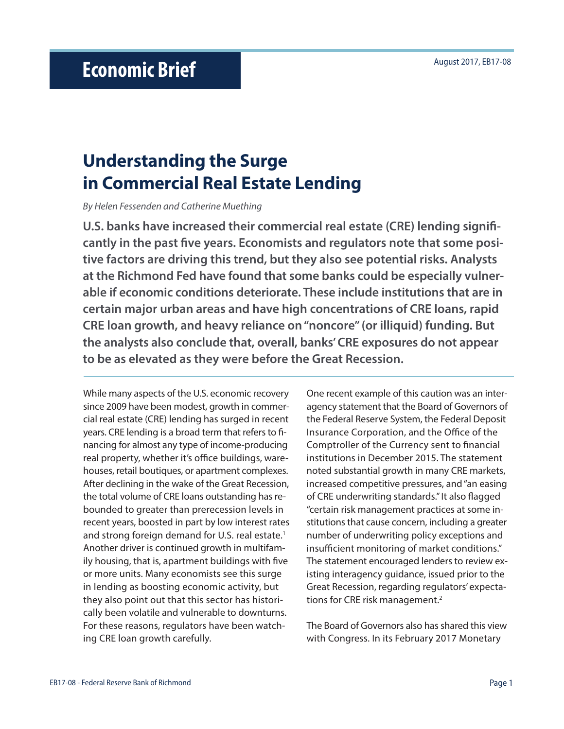# **Understanding the Surge in Commercial Real Estate Lending**

*By Helen Fessenden and Catherine Muething*

**U.S. banks have increased their commercial real estate (CRE) lending significantly in the past five years. Economists and regulators note that some positive factors are driving this trend, but they also see potential risks. Analysts at the Richmond Fed have found that some banks could be especially vulnerable if economic conditions deteriorate. These include institutions that are in certain major urban areas and have high concentrations of CRE loans, rapid CRE loan growth, and heavy reliance on "noncore" (or illiquid) funding. But the analysts also conclude that, overall, banks' CRE exposures do not appear to be as elevated as they were before the Great Recession.** 

While many aspects of the U.S. economic recovery since 2009 have been modest, growth in commercial real estate (CRE) lending has surged in recent years. CRE lending is a broad term that refers to financing for almost any type of income-producing real property, whether it's office buildings, warehouses, retail boutiques, or apartment complexes. After declining in the wake of the Great Recession, the total volume of CRE loans outstanding has rebounded to greater than prerecession levels in recent years, boosted in part by low interest rates and strong foreign demand for U.S. real estate.<sup>1</sup> Another driver is continued growth in multifamily housing, that is, apartment buildings with five or more units. Many economists see this surge in lending as boosting economic activity, but they also point out that this sector has historically been volatile and vulnerable to downturns. For these reasons, regulators have been watching CRE loan growth carefully.

One recent example of this caution was an interagency statement that the Board of Governors of the Federal Reserve System, the Federal Deposit Insurance Corporation, and the Office of the Comptroller of the Currency sent to financial institutions in December 2015. The statement noted substantial growth in many CRE markets, increased competitive pressures, and "an easing of CRE underwriting standards." It also flagged "certain risk management practices at some institutions that cause concern, including a greater number of underwriting policy exceptions and insufficient monitoring of market conditions." The statement encouraged lenders to review existing interagency guidance, issued prior to the Great Recession, regarding regulators' expectations for CRE risk management.2

The Board of Governors also has shared this view with Congress. In its February 2017 Monetary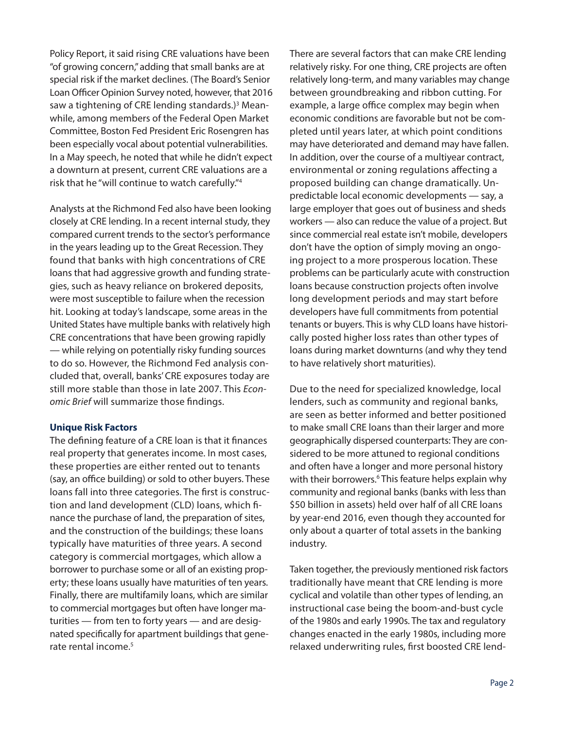Policy Report, it said rising CRE valuations have been "of growing concern," adding that small banks are at special risk if the market declines. (The Board's Senior Loan Officer Opinion Survey noted, however, that 2016 saw a tightening of CRE lending standards.)<sup>3</sup> Meanwhile, among members of the Federal Open Market Committee, Boston Fed President Eric Rosengren has been especially vocal about potential vulnerabilities. In a May speech, he noted that while he didn't expect a downturn at present, current CRE valuations are a risk that he "will continue to watch carefully."4

Analysts at the Richmond Fed also have been looking closely at CRE lending. In a recent internal study, they compared current trends to the sector's performance in the years leading up to the Great Recession. They found that banks with high concentrations of CRE loans that had aggressive growth and funding strategies, such as heavy reliance on brokered deposits, were most susceptible to failure when the recession hit. Looking at today's landscape, some areas in the United States have multiple banks with relatively high CRE concentrations that have been growing rapidly — while relying on potentially risky funding sources to do so. However, the Richmond Fed analysis concluded that, overall, banks' CRE exposures today are still more stable than those in late 2007. This *Economic Brief* will summarize those findings.

## **Unique Risk Factors**

The defining feature of a CRE loan is that it finances real property that generates income. In most cases, these properties are either rented out to tenants (say, an office building) or sold to other buyers. These loans fall into three categories. The first is construction and land development (CLD) loans, which finance the purchase of land, the preparation of sites, and the construction of the buildings; these loans typically have maturities of three years. A second category is commercial mortgages, which allow a borrower to purchase some or all of an existing property; these loans usually have maturities of ten years. Finally, there are multifamily loans, which are similar to commercial mortgages but often have longer maturities — from ten to forty years — and are designated specifically for apartment buildings that generate rental income.<sup>5</sup>

There are several factors that can make CRE lending relatively risky. For one thing, CRE projects are often relatively long-term, and many variables may change between groundbreaking and ribbon cutting. For example, a large office complex may begin when economic conditions are favorable but not be completed until years later, at which point conditions may have deteriorated and demand may have fallen. In addition, over the course of a multiyear contract, environmental or zoning regulations affecting a proposed building can change dramatically. Unpredictable local economic developments — say, a large employer that goes out of business and sheds workers — also can reduce the value of a project. But since commercial real estate isn't mobile, developers don't have the option of simply moving an ongoing project to a more prosperous location. These problems can be particularly acute with construction loans because construction projects often involve long development periods and may start before developers have full commitments from potential tenants or buyers. This is why CLD loans have historically posted higher loss rates than other types of loans during market downturns (and why they tend to have relatively short maturities).

Due to the need for specialized knowledge, local lenders, such as community and regional banks, are seen as better informed and better positioned to make small CRE loans than their larger and more geographically dispersed counterparts: They are considered to be more attuned to regional conditions and often have a longer and more personal history with their borrowers.<sup>6</sup> This feature helps explain why community and regional banks (banks with less than \$50 billion in assets) held over half of all CRE loans by year-end 2016, even though they accounted for only about a quarter of total assets in the banking industry.

Taken together, the previously mentioned risk factors traditionally have meant that CRE lending is more cyclical and volatile than other types of lending, an instructional case being the boom-and-bust cycle of the 1980s and early 1990s. The tax and regulatory changes enacted in the early 1980s, including more relaxed underwriting rules, first boosted CRE lend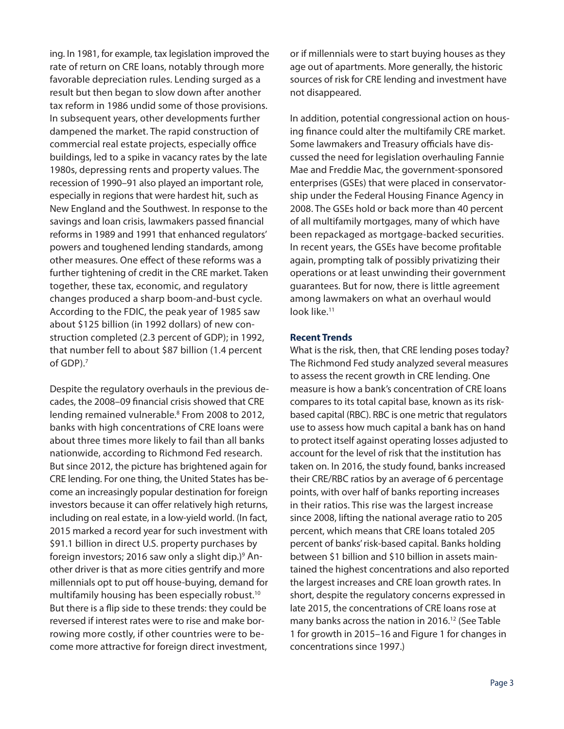ing. In 1981, for example, tax legislation improved the rate of return on CRE loans, notably through more favorable depreciation rules. Lending surged as a result but then began to slow down after another tax reform in 1986 undid some of those provisions. In subsequent years, other developments further dampened the market. The rapid construction of commercial real estate projects, especially office buildings, led to a spike in vacancy rates by the late 1980s, depressing rents and property values. The recession of 1990–91 also played an important role, especially in regions that were hardest hit, such as New England and the Southwest. In response to the savings and loan crisis, lawmakers passed financial reforms in 1989 and 1991 that enhanced regulators' powers and toughened lending standards, among other measures. One effect of these reforms was a further tightening of credit in the CRE market. Taken together, these tax, economic, and regulatory changes produced a sharp boom-and-bust cycle. According to the FDIC, the peak year of 1985 saw about \$125 billion (in 1992 dollars) of new construction completed (2.3 percent of GDP); in 1992, that number fell to about \$87 billion (1.4 percent of GDP).7

Despite the regulatory overhauls in the previous decades, the 2008–09 financial crisis showed that CRE lending remained vulnerable.<sup>8</sup> From 2008 to 2012, banks with high concentrations of CRE loans were about three times more likely to fail than all banks nationwide, according to Richmond Fed research. But since 2012, the picture has brightened again for CRE lending. For one thing, the United States has become an increasingly popular destination for foreign investors because it can offer relatively high returns, including on real estate, in a low-yield world. (In fact, 2015 marked a record year for such investment with \$91.1 billion in direct U.S. property purchases by foreign investors; 2016 saw only a slight dip.)<sup>9</sup> Another driver is that as more cities gentrify and more millennials opt to put off house-buying, demand for multifamily housing has been especially robust.<sup>10</sup> But there is a flip side to these trends: they could be reversed if interest rates were to rise and make borrowing more costly, if other countries were to become more attractive for foreign direct investment,

or if millennials were to start buying houses as they age out of apartments. More generally, the historic sources of risk for CRE lending and investment have not disappeared.

In addition, potential congressional action on housing finance could alter the multifamily CRE market. Some lawmakers and Treasury officials have discussed the need for legislation overhauling Fannie Mae and Freddie Mac, the government-sponsored enterprises (GSEs) that were placed in conservatorship under the Federal Housing Finance Agency in 2008. The GSEs hold or back more than 40 percent of all multifamily mortgages, many of which have been repackaged as mortgage-backed securities. In recent years, the GSEs have become profitable again, prompting talk of possibly privatizing their operations or at least unwinding their government guarantees. But for now, there is little agreement among lawmakers on what an overhaul would look like.11

#### **Recent Trends**

What is the risk, then, that CRE lending poses today? The Richmond Fed study analyzed several measures to assess the recent growth in CRE lending. One measure is how a bank's concentration of CRE loans compares to its total capital base, known as its riskbased capital (RBC). RBC is one metric that regulators use to assess how much capital a bank has on hand to protect itself against operating losses adjusted to account for the level of risk that the institution has taken on. In 2016, the study found, banks increased their CRE/RBC ratios by an average of 6 percentage points, with over half of banks reporting increases in their ratios. This rise was the largest increase since 2008, lifting the national average ratio to 205 percent, which means that CRE loans totaled 205 percent of banks' risk-based capital. Banks holding between \$1 billion and \$10 billion in assets maintained the highest concentrations and also reported the largest increases and CRE loan growth rates. In short, despite the regulatory concerns expressed in late 2015, the concentrations of CRE loans rose at many banks across the nation in 2016.<sup>12</sup> (See Table 1 for growth in 2015–16 and Figure 1 for changes in concentrations since 1997.)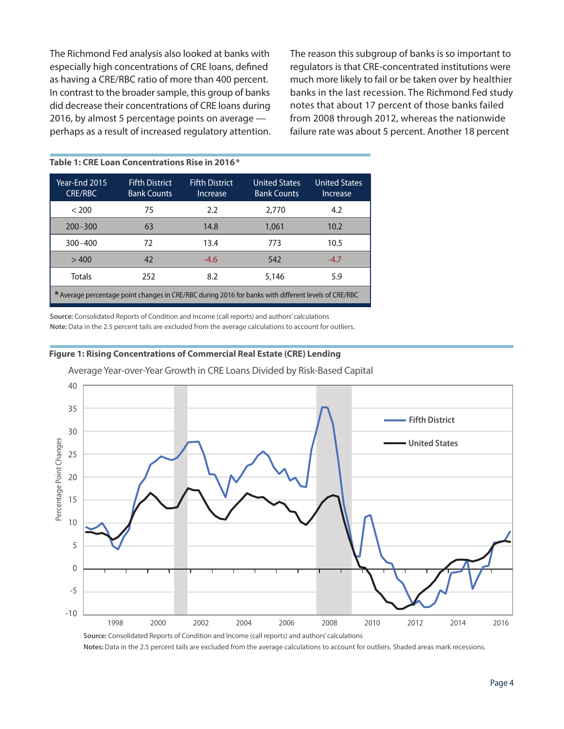The Richmond Fed analysis also looked at banks with especially high concentrations of CRE loans, defined as having a CRE/RBC ratio of more than 400 percent. In contrast to the broader sample, this group of banks did decrease their concentrations of CRE loans during 2016, by almost 5 percentage points on average perhaps as a result of increased regulatory attention.

**Table 1: CRE Loan Concentrations Rise in 2016\***

The reason this subgroup of banks is so important to regulators is that CRE-concentrated institutions were much more likely to fail or be taken over by healthier banks in the last recession. The Richmond Fed study notes that about 17 percent of those banks failed from 2008 through 2012, whereas the nationwide failure rate was about 5 percent. Another 18 percent

| Year-End 2015<br><b>CRE/RBC</b>                                                                      | <b>Fifth District</b><br><b>Bank Counts</b> | <b>Fifth District</b><br>Increase | <b>United States</b><br><b>Bank Counts</b> | <b>United States</b><br>Increase |
|------------------------------------------------------------------------------------------------------|---------------------------------------------|-----------------------------------|--------------------------------------------|----------------------------------|
| < 200                                                                                                | 75                                          | 2.2                               | 2,770                                      | 4.2                              |
| $200 - 300$                                                                                          | 63                                          | 14.8                              | 1.061                                      | 10.2 <sup>2</sup>                |
| $300 - 400$                                                                                          | 72                                          | 13.4                              | 773                                        | 10.5                             |
| >400                                                                                                 | 42                                          | $-4.6$                            | 542                                        | $-4.7$                           |
| Totals                                                                                               | 252                                         | 8.2                               | 5,146                                      | 5.9                              |
| * Average percentage point changes in CRE/RBC during 2016 for banks with different levels of CRE/RBC |                                             |                                   |                                            |                                  |

**Source:** Consolidated Reports of Condition and Income (call reports) and authors' calculations **Note:** Data in the 2.5 percent tails are excluded from the average calculations to account for outliers.

#### **Figure 1: Rising Concentrations of Commercial Real Estate (CRE) Lending**



Average Year-over-Year Growth in CRE Loans Divided by Risk-Based Capital

**Notes:** Data in the 2.5 percent tails are excluded from the average calculations to account for outliers. Shaded areas mark recessions.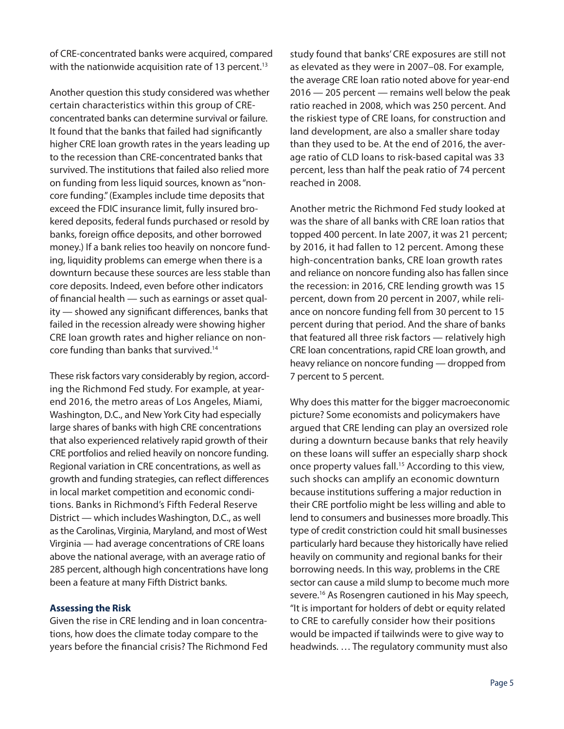of CRE-concentrated banks were acquired, compared with the nationwide acquisition rate of 13 percent.<sup>13</sup>

Another question this study considered was whether certain characteristics within this group of CREconcentrated banks can determine survival or failure. It found that the banks that failed had significantly higher CRE loan growth rates in the years leading up to the recession than CRE-concentrated banks that survived. The institutions that failed also relied more on funding from less liquid sources, known as "noncore funding." (Examples include time deposits that exceed the FDIC insurance limit, fully insured brokered deposits, federal funds purchased or resold by banks, foreign office deposits, and other borrowed money.) If a bank relies too heavily on noncore funding, liquidity problems can emerge when there is a downturn because these sources are less stable than core deposits. Indeed, even before other indicators of financial health — such as earnings or asset quality — showed any significant differences, banks that failed in the recession already were showing higher CRE loan growth rates and higher reliance on noncore funding than banks that survived.14

These risk factors vary considerably by region, according the Richmond Fed study. For example, at yearend 2016, the metro areas of Los Angeles, Miami, Washington, D.C., and New York City had especially large shares of banks with high CRE concentrations that also experienced relatively rapid growth of their CRE portfolios and relied heavily on noncore funding. Regional variation in CRE concentrations, as well as growth and funding strategies, can reflect differences in local market competition and economic conditions. Banks in Richmond's Fifth Federal Reserve District — which includes Washington, D.C., as well as the Carolinas, Virginia, Maryland, and most of West Virginia — had average concentrations of CRE loans above the national average, with an average ratio of 285 percent, although high concentrations have long been a feature at many Fifth District banks.

## **Assessing the Risk**

Given the rise in CRE lending and in loan concentrations, how does the climate today compare to the years before the financial crisis? The Richmond Fed study found that banks' CRE exposures are still not as elevated as they were in 2007–08. For example, the average CRE loan ratio noted above for year-end 2016 — 205 percent — remains well below the peak ratio reached in 2008, which was 250 percent. And the riskiest type of CRE loans, for construction and land development, are also a smaller share today than they used to be. At the end of 2016, the average ratio of CLD loans to risk-based capital was 33 percent, less than half the peak ratio of 74 percent reached in 2008.

Another metric the Richmond Fed study looked at was the share of all banks with CRE loan ratios that topped 400 percent. In late 2007, it was 21 percent; by 2016, it had fallen to 12 percent. Among these high-concentration banks, CRE loan growth rates and reliance on noncore funding also has fallen since the recession: in 2016, CRE lending growth was 15 percent, down from 20 percent in 2007, while reliance on noncore funding fell from 30 percent to 15 percent during that period. And the share of banks that featured all three risk factors — relatively high CRE loan concentrations, rapid CRE loan growth, and heavy reliance on noncore funding — dropped from 7 percent to 5 percent.

Why does this matter for the bigger macroeconomic picture? Some economists and policymakers have argued that CRE lending can play an oversized role during a downturn because banks that rely heavily on these loans will suffer an especially sharp shock once property values fall.<sup>15</sup> According to this view, such shocks can amplify an economic downturn because institutions suffering a major reduction in their CRE portfolio might be less willing and able to lend to consumers and businesses more broadly. This type of credit constriction could hit small businesses particularly hard because they historically have relied heavily on community and regional banks for their borrowing needs. In this way, problems in the CRE sector can cause a mild slump to become much more severe.16 As Rosengren cautioned in his May speech, "It is important for holders of debt or equity related to CRE to carefully consider how their positions would be impacted if tailwinds were to give way to headwinds. … The regulatory community must also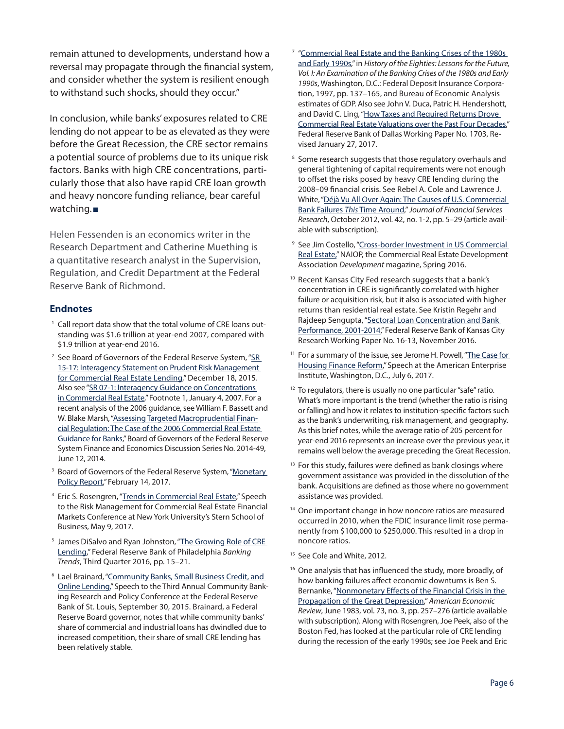remain attuned to developments, understand how a reversal may propagate through the financial system, and consider whether the system is resilient enough to withstand such shocks, should they occur."

In conclusion, while banks' exposures related to CRE lending do not appear to be as elevated as they were before the Great Recession, the CRE sector remains a potential source of problems due to its unique risk factors. Banks with high CRE concentrations, particularly those that also have rapid CRE loan growth and heavy noncore funding reliance, bear careful watching.

Helen Fessenden is an economics writer in the Research Department and Catherine Muething is a quantitative research analyst in the Supervision, Regulation, and Credit Department at the Federal Reserve Bank of Richmond.

## **Endnotes**

- <sup>1</sup> Call report data show that the total volume of CRE loans outstanding was \$1.6 trillion at year-end 2007, compared with \$1.9 trillion at year-end 2016.
- <sup>2</sup> See Board of Governors of the Federal Reserve System, "SR [15-17: Interagency Statement on Prudent Risk Management](https://www.federalreserve.gov/supervisionreg/srletters/sr1517.htm)  [for Commercial Real Estate Lending](https://www.federalreserve.gov/supervisionreg/srletters/sr1517.htm)," December 18, 2015. Also see "[SR 07-1: Interagency Guidance on Concentrations](https://www.federalreserve.gov/boarddocs/srletters/2007/SR0701.htm)  [in Commercial Real Estate,](https://www.federalreserve.gov/boarddocs/srletters/2007/SR0701.htm)" Footnote 1, January 4, 2007. For a recent analysis of the 2006 guidance, see William F. Bassett and W. Blake Marsh, ["Assessing Targeted Macroprudential Finan](https://www.federalreserve.gov/pubs/feds/2014/201449/201449abs.html)[cial Regulation: The Case of the 2006 Commercial Real Estate](https://www.federalreserve.gov/pubs/feds/2014/201449/201449abs.html)  [Guidance for Banks,](https://www.federalreserve.gov/pubs/feds/2014/201449/201449abs.html)" Board of Governors of the Federal Reserve System Finance and Economics Discussion Series No. 2014-49, June 12, 2014.
- <sup>3</sup> Board of Governors of the Federal Reserve System, "Monetary [Policy Report,](https://www.federalreserve.gov/monetarypolicy/2017-02-mpr-summary.htm)" February 14, 2017.
- 4 Eric S. Rosengren, "[Trends in Commercial Real Estate](https://www.bostonfed.org/news-and-events/speeches/2017/trends-in-commercial-real-estate.aspx)," Speech to the Risk Management for Commercial Real Estate Financial Markets Conference at New York University's Stern School of Business, May 9, 2017.
- <sup>5</sup> James DiSalvo and Ryan Johnston, "The Growing Role of CRE [Lending](https://www.philadelphiafed.org/-/media/research-and-data/publications/banking-trends/2016/bt-cre_lending.pdf)," Federal Reserve Bank of Philadelphia *Banking Trends*, Third Quarter 2016, pp. 15–21.
- 6 Lael Brainard, ["Community Banks, Small Business Credit, and](https://www.federalreserve.gov/newsevents/speech/brainard20150930a.htm)  [Online Lending,](https://www.federalreserve.gov/newsevents/speech/brainard20150930a.htm)" Speech to the Third Annual Community Banking Research and Policy Conference at the Federal Reserve Bank of St. Louis, September 30, 2015. Brainard, a Federal Reserve Board governor, notes that while community banks' share of commercial and industrial loans has dwindled due to increased competition, their share of small CRE lending has been relatively stable.
- 7 "[Commercial Real Estate and the Banking Crises of the 1980s](https://www.fdic.gov/bank/historical/history/137_165.pdf)  [and Early 1990s](https://www.fdic.gov/bank/historical/history/137_165.pdf)," in *History of the Eighties: Lessons for the Future, Vol. I: An Examination of the Banking Crises of the 1980s and Early 1990s*, Washington, D.C.: Federal Deposit Insurance Corporation, 1997, pp. 137–165, and Bureau of Economic Analysis estimates of GDP. Also see John V. Duca, Patric H. Hendershott, and David C. Ling, ["How Taxes and Required Returns Drove](https://www.dallasfed.org/~/media/documents/research/papers/2017/wp1703.pdf)  [Commercial Real Estate Valuations over the Past Four Decades](https://www.dallasfed.org/~/media/documents/research/papers/2017/wp1703.pdf)," Federal Reserve Bank of Dallas Working Paper No. 1703, Revised January 27, 2017.
- <sup>8</sup> Some research suggests that those regulatory overhauls and general tightening of capital requirements were not enough to offset the risks posed by heavy CRE lending during the 2008–09 financial crisis. See Rebel A. Cole and Lawrence J. White, "[Déjà Vu All Over Again: The Causes of U.S. Commercial](https://doi.org/10.1007/s10693-011-0116-9)  [Bank Failures](https://doi.org/10.1007/s10693-011-0116-9) *This* Time Around," *Journal of Financial Services Research*, October 2012, vol. 42, no. 1-2, pp. 5–29 (article available with subscription).
- <sup>9</sup> See Jim Costello, "Cross-border Investment in US Commercial [Real Estate,](http://www.naiop.org/en/Magazine/2016/Spring-2016/Finance/Cross-border-Investment-in-US-Commercial--Real-Estate.aspx)" NAIOP, the Commercial Real Estate Development Association *Development* magazine, Spring 2016.
- <sup>10</sup> Recent Kansas City Fed research suggests that a bank's concentration in CRE is significantly correlated with higher failure or acquisition risk, but it also is associated with higher returns than residential real estate. See Kristin Regehr and Rajdeep Sengupta, "[Sectoral Loan Concentration and Bank](https://dx.doi.org/10.18651/RWP2016-13)  [Performance, 2001-2014](https://dx.doi.org/10.18651/RWP2016-13)," Federal Reserve Bank of Kansas City Research Working Paper No. 16-13, November 2016.
- <sup>11</sup> For a summary of the issue, see Jerome H. Powell, "The Case for [Housing Finance Reform](https://www.federalreserve.gov/newsevents/speech/powell20170706a.htm)," Speech at the American Enterprise Institute, Washington, D.C., July 6, 2017.
- <sup>12</sup> To regulators, there is usually no one particular "safe" ratio. What's more important is the trend (whether the ratio is rising or falling) and how it relates to institution-specific factors such as the bank's underwriting, risk management, and geography. As this brief notes, while the average ratio of 205 percent for year-end 2016 represents an increase over the previous year, it remains well below the average preceding the Great Recession.
- <sup>13</sup> For this study, failures were defined as bank closings where government assistance was provided in the dissolution of the bank. Acquisitions are defined as those where no government assistance was provided.
- <sup>14</sup> One important change in how noncore ratios are measured occurred in 2010, when the FDIC insurance limit rose permanently from \$100,000 to \$250,000. This resulted in a drop in noncore ratios.
- <sup>15</sup> See Cole and White, 2012.
- <sup>16</sup> One analysis that has influenced the study, more broadly, of how banking failures affect economic downturns is Ben S. Bernanke, "Nonmonetary Effects of the Financial Crisis in the [Propagation of the Great Depression](https://www.jstor.org/stable/1808111)," *American Economic Review*, June 1983, vol. 73, no. 3, pp. 257–276 (article available with subscription). Along with Rosengren, Joe Peek, also of the Boston Fed, has looked at the particular role of CRE lending during the recession of the early 1990s; see Joe Peek and Eric